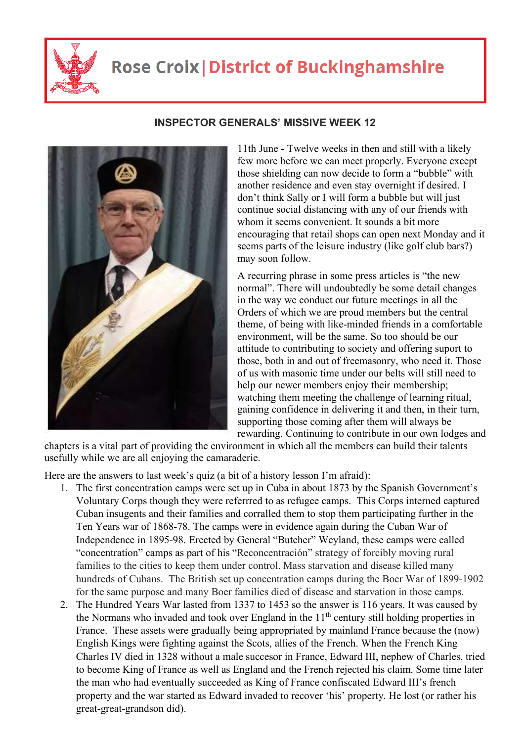

## **Rose Croix | District of Buckinghamshire**



## **INSPECTOR GENERALS' MISSIVE WEEK 12**

11th June - Twelve weeks in then and still with a likely few more before we can meet properly. Everyone except those shielding can now decide to form a "bubble" with another residence and even stay overnight if desired. I don't think Sally or I will form a bubble but will just continue social distancing with any of our friends with whom it seems convenient. It sounds a bit more encouraging that retail shops can open next Monday and it seems parts of the leisure industry (like golf club bars?) may soon follow.

A recurring phrase in some press articles is "the new normal". There will undoubtedly be some detail changes in the way we conduct our future meetings in all the Orders of which we are proud members but the central theme, of being with like-minded friends in a comfortable environment, will be the same. So too should be our attitude to contributing to society and offering suport to those, both in and out of freemasonry, who need it. Those of us with masonic time under our belts will still need to help our newer members enjoy their membership; watching them meeting the challenge of learning ritual, gaining confidence in delivering it and then, in their turn, supporting those coming after them will always be rewarding. Continuing to contribute in our own lodges and

chapters is a vital part of providing the environment in which all the members can build their talents usefully while we are all enjoying the camaraderie.

Here are the answers to last week's quiz (a bit of a history lesson I'm afraid):

- 1. The first concentration camps were set up in Cuba in about 1873 by the Spanish Government's Voluntary Corps though they were referrred to as refugee camps. This Corps interned captured Cuban insugents and their families and corralled them to stop them participating further in the Ten Years war of 1868-78. The camps were in evidence again during the Cuban War of Independence in 1895-98. Erected by General "Butcher" Weyland, these camps were called "concentration" camps as part of his "Reconcentración" strategy of forcibly moving rural families to the cities to keep them under control. Mass starvation and disease killed many hundreds of Cubans. The British set up concentration camps during the Boer War of 1899-1902 for the same purpose and many Boer families died of disease and starvation in those camps.
- 2. The Hundred Years War lasted from 1337 to 1453 so the answer is 116 years. It was caused by the Normans who invaded and took over England in the  $11<sup>th</sup>$  century still holding properties in France. These assets were gradually being appropriated by mainland France because the (now) English Kings were fighting against the Scots, allies of the French. When the French King Charles IV died in 1328 without a male succesor in France, Edward III, nephew of Charles, tried to become King of France as well as England and the French rejected his claim. Some time later the man who had eventually succeeded as King of France confiscated Edward III's french property and the war started as Edward invaded to recover 'his' property. He lost (or rather his great-great-grandson did).